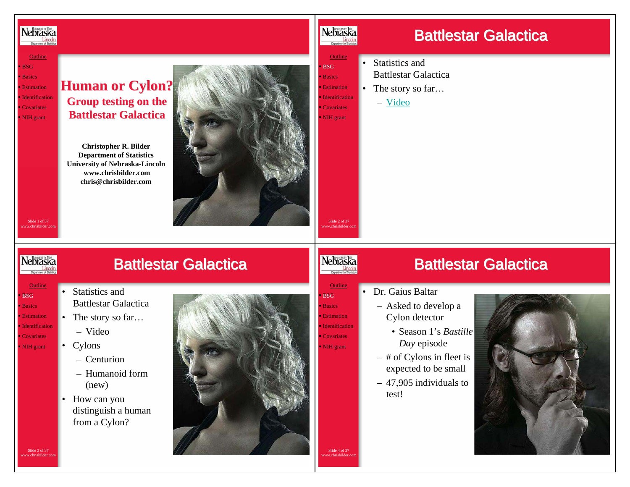

<u>Outline</u> BSG Basics **Estimation Identification** ■ Covariates NIH grant

## **Human or Cylon? Group testing on the Group testing on the Battlestar Battlestar Galactica Galactica**

**Christopher R. Bilder Department of Statistics University of Nebraska-Lincoln www.chrisbilder.comchris@chrisbilder.com**



### Nebraska Department of Statistic

# Battlestar Galactica

Battlestar Galactica

<u>Outline</u>

**BSG Basics Estimation**  Identification**Covariates** NIH grant

Slide 2 of 37www.chrisbilder.com

**Outlin** 

Nebraska

- Statistics and Battlestar Galactica
- •The story so far…

– Video

#### Slide 1 of 37 www.chrisbilder.com

**Outline**  BSG Basics **Estimation Identification** ■ Covariates NIH grant

**Nebraska** 

Slide 3 of 37 www.chrisbilder.com

# Battlestar Galactica

- Statistics and Battlestar Galactica
- The story so far... – Video
- - Cylons
		- Centurion
		- Humanoid form (new)
	- • How can you distinguish a human from a Cylon?



## • Dr. Gaius Baltar

- Asked to develop a Cylon detector
	- Season 1's *Bastille Day* episode
- # of Cylons in fleet is expected to be small
- 47,905 individuals to test!



Slide 4 of 37 www.chrisbilder.com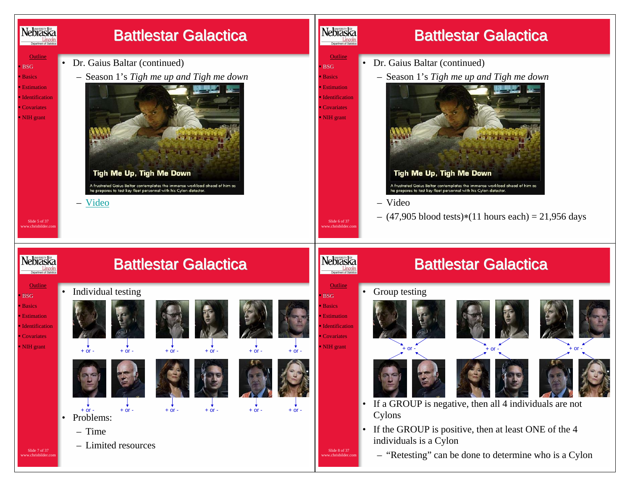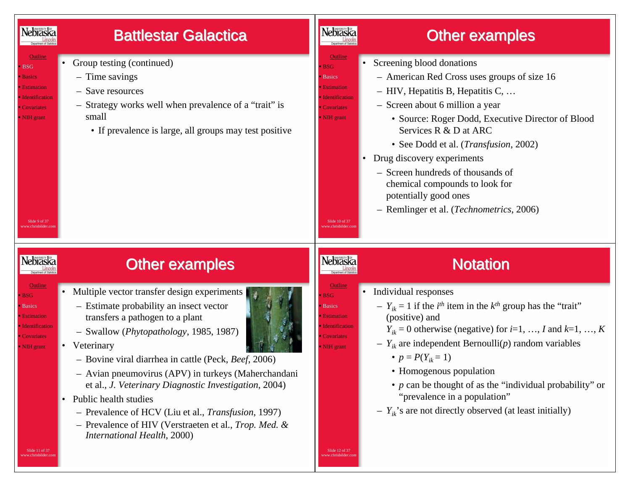

<u>Outline</u> BSG Basics **Estimation Identification** ■ Covariates NIH grant

## Battlestar Galactica

- Group testing (continued)
	- Time savings
	- Save resources
	- Strategy works well when prevalence of a "trait" is small
		- If prevalence is large, all groups may test positive

### Nebraska **Lincoln**<br>Department of Statistic

<u>Outline</u> BSG Basics **Estimation**  Identification■ Covariates NIH grant

# **Other examples**

- • Screening blood donations
	- American Red Cross uses groups of size 16
	- HIV, Hepatitis B, Hepatitis C, …
	- Screen about 6 million a year
		- Source: Roger Dodd, Executive Director of Blood Services R & D at ARC
		- See Dodd et al. (*Transfusion*, 2002)
	- • Drug discovery experiments
		- Screen hundreds of thousands of chemical compounds to look for potentially good ones
		- Remlinger et al. (*Technometrics*, 2006)



Slide 9 of 37www.chrisbilder.com

# **Other examples**

**Outline BSG Basics Estimation** 

**Identification** 

■ Covariates NIH grant

- Multiple vector transfer design experiments
- Estimate probability an insect vector transfers a pathogen to a plant
- Swallow (*Phytopathology*, 1985, 1987)
- Veterinary

•

- Bovine viral diarrhea in cattle (Peck, *Beef*, 2006)
- Avian pneumovirus (APV) in turkeys (Maherchandani et al., *J. Veterinary Diagnostic Investigation*, 2004)
- • Public health studies
	- Prevalence of HCV (Liu et al., *Transfusion*, 1997)
	- Prevalence of HIV (Verstraeten et al., *Trop. Med. & International Health*, 2000)

# Nebraska

**Outlin**  BSG Basics **Estimation Identification** ■ Covariates NIH grant

Slide 12 of 37 www.chrisbilder.com

Slide 10 of 37www.chrisbilder.com

# Notation

- • Individual responses
	- $Y_{ik} = 1$  if the *i*<sup>th</sup> item in the  $k$ <sup>th</sup> group has the "trait" (positive) and
		- $Y_{ik} = 0$  otherwise (negative) for  $i=1, ..., I$  and  $k=1, ..., K$
	- *Yik* are independent Bernoulli(*p*) random variables
		- $p = P(Y_{ik} = 1)$
		- Homogenous population
		- *p* can be thought of as the "individual probability" or "prevalence in a population"
	- *Yik*'s are not directly observed (at least initially)

Slide 11 of 37 www.chrisbilder.com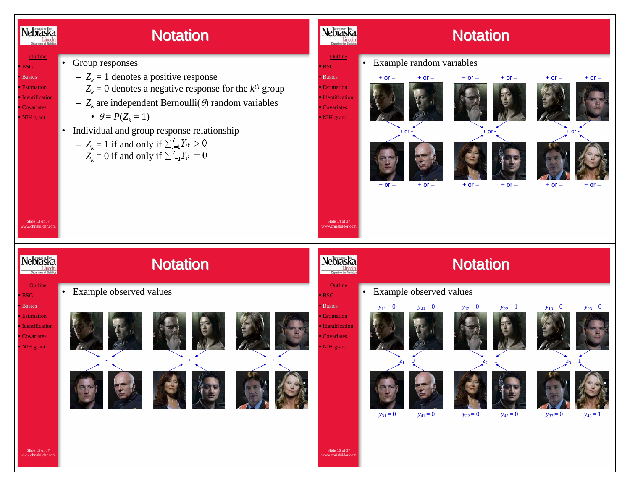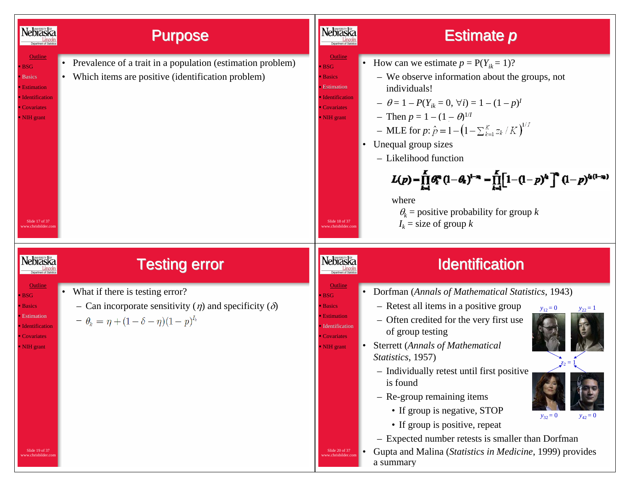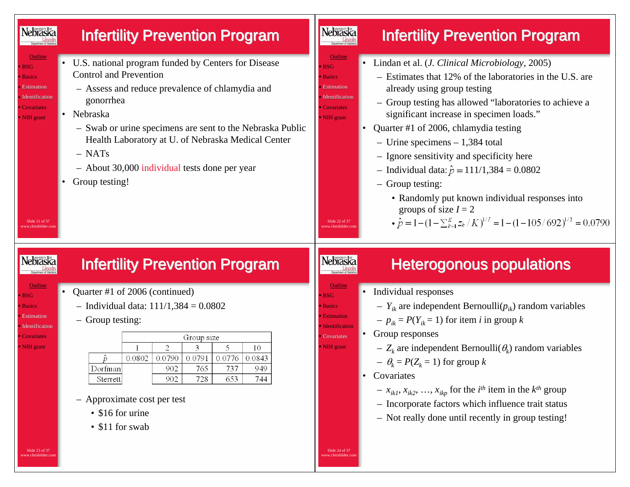![](_page_5_Figure_0.jpeg)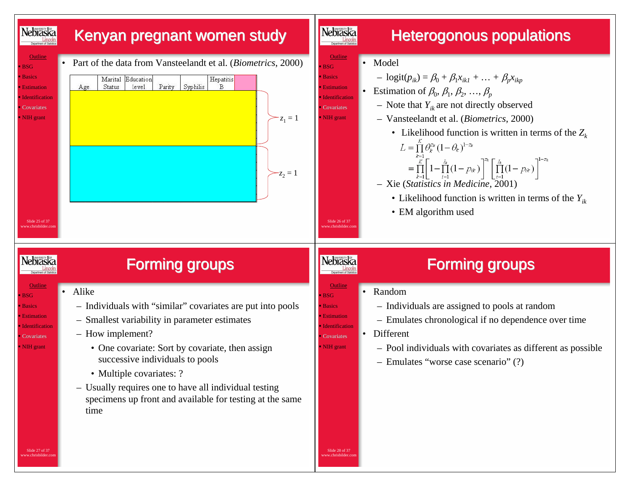![](_page_6_Figure_0.jpeg)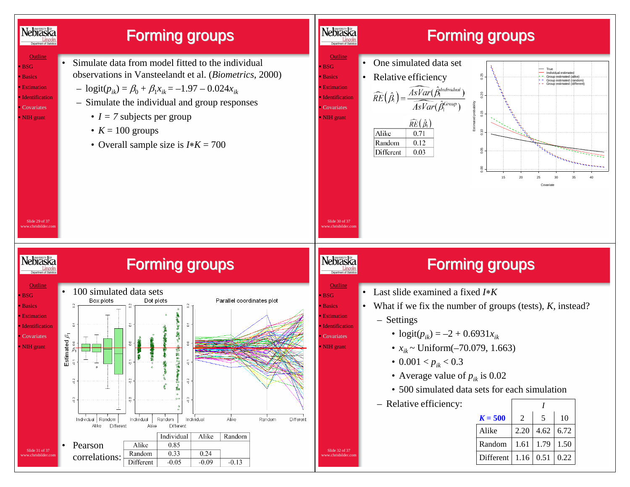![](_page_7_Figure_0.jpeg)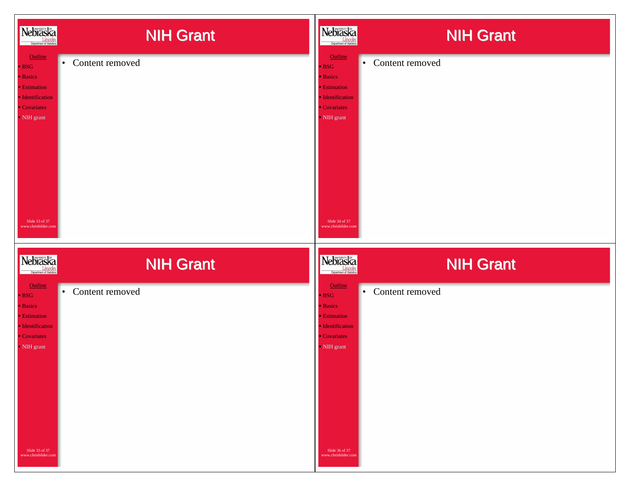| Nebraska<br><b>Lincoln</b><br>Department of Statistics                                                                                                       | <b>NIH Grant</b>             | Nebraska                                                                                                                                                   | <b>NIH Grant</b>             |
|--------------------------------------------------------------------------------------------------------------------------------------------------------------|------------------------------|------------------------------------------------------------------------------------------------------------------------------------------------------------|------------------------------|
| Outline<br><b>BSG</b><br><b>Basics</b><br><b>Estimation</b><br>· Identification<br>• Covariates<br>NIH grant<br>Slide 33 of 37<br>ww.chrisbilder.cor         | Content removed<br>$\bullet$ | Outline<br><b>BSG</b><br><b>Basics</b><br><b>Estimation</b><br><b>Identification</b><br>Covariates<br>- NIH grant<br>Slide 34 of 37<br>www.chrisbilder.cor | Content removed<br>$\bullet$ |
| Nebraska<br><b>Lincoln</b><br>Department of Statistics                                                                                                       | <b>NIH Grant</b>             | Nebraska                                                                                                                                                   | <b>NIH Grant</b>             |
| <b>Outline</b><br><b>BSG</b><br><b>Basics</b><br><b>Estimation</b><br>· Identification<br>• Covariates<br>NIH grant<br>Slide 35 of 37<br>www.chrisbilder.com | Content removed<br>$\bullet$ | Outline<br><b>BSG</b><br><b>Basics</b><br><b>Estimation</b><br><b>Identification</b><br>Covariates<br>- NIH grant<br>Slide 36 of 37<br>www.chrisbilder.com | Content removed<br>$\bullet$ |